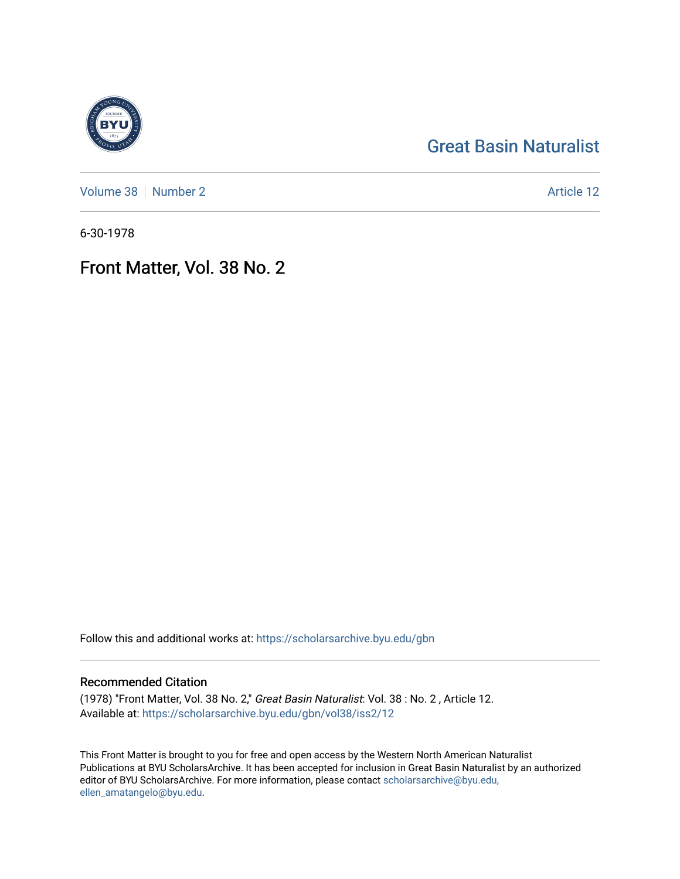## [Great Basin Naturalist](https://scholarsarchive.byu.edu/gbn)

[Volume 38](https://scholarsarchive.byu.edu/gbn/vol38) | [Number 2](https://scholarsarchive.byu.edu/gbn/vol38/iss2) Article 12

6-30-1978

## Front Matter, Vol. 38 No. 2

Follow this and additional works at: [https://scholarsarchive.byu.edu/gbn](https://scholarsarchive.byu.edu/gbn?utm_source=scholarsarchive.byu.edu%2Fgbn%2Fvol38%2Fiss2%2F12&utm_medium=PDF&utm_campaign=PDFCoverPages) 

## Recommended Citation

(1978) "Front Matter, Vol. 38 No. 2," Great Basin Naturalist: Vol. 38 : No. 2 , Article 12. Available at: [https://scholarsarchive.byu.edu/gbn/vol38/iss2/12](https://scholarsarchive.byu.edu/gbn/vol38/iss2/12?utm_source=scholarsarchive.byu.edu%2Fgbn%2Fvol38%2Fiss2%2F12&utm_medium=PDF&utm_campaign=PDFCoverPages) 

This Front Matter is brought to you for free and open access by the Western North American Naturalist Publications at BYU ScholarsArchive. It has been accepted for inclusion in Great Basin Naturalist by an authorized editor of BYU ScholarsArchive. For more information, please contact [scholarsarchive@byu.edu,](mailto:scholarsarchive@byu.edu,%20ellen_amatangelo@byu.edu) [ellen\\_amatangelo@byu.edu](mailto:scholarsarchive@byu.edu,%20ellen_amatangelo@byu.edu).

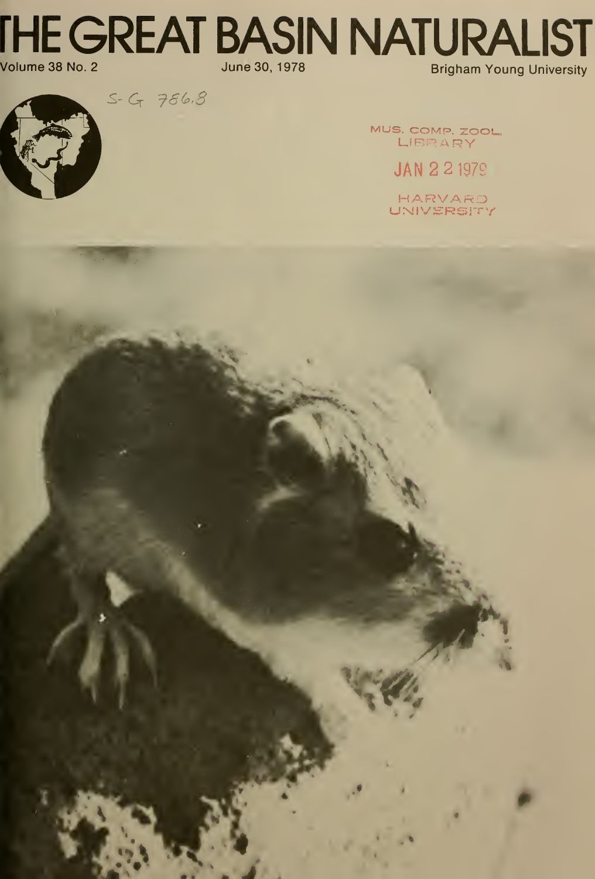**THE GREAT BASIN NATURALIST** Volume 38 No. 2 June 30, 1978 **Brigham Young University** 

 $S - G - 786.8$ 

MUS. COMP. ZOOL, LIBRARY

**JAN 2 2 1979** 

HARVARD<br>UNIVERSITY